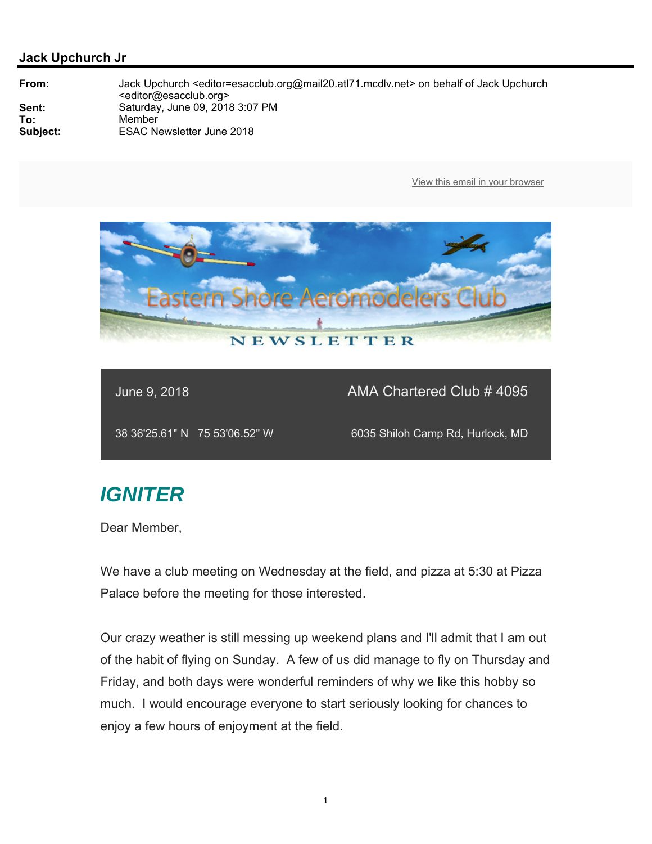

June 9, 2018 AMA Chartered Club # 4095

38 36'25.61" N 75 53'06.52" W 6035 Shiloh Camp Rd, Hurlock, MD

# *IGNITER*

Dear Member,

We have a club meeting on Wednesday at the field, and pizza at 5:30 at Pizza Palace before the meeting for those interested.

Our crazy weather is still messing up weekend plans and I'll admit that I am out of the habit of flying on Sunday. A few of us did manage to fly on Thursday and Friday, and both days were wonderful reminders of why we like this hobby so much. I would encourage everyone to start seriously looking for chances to enjoy a few hours of enjoyment at the field.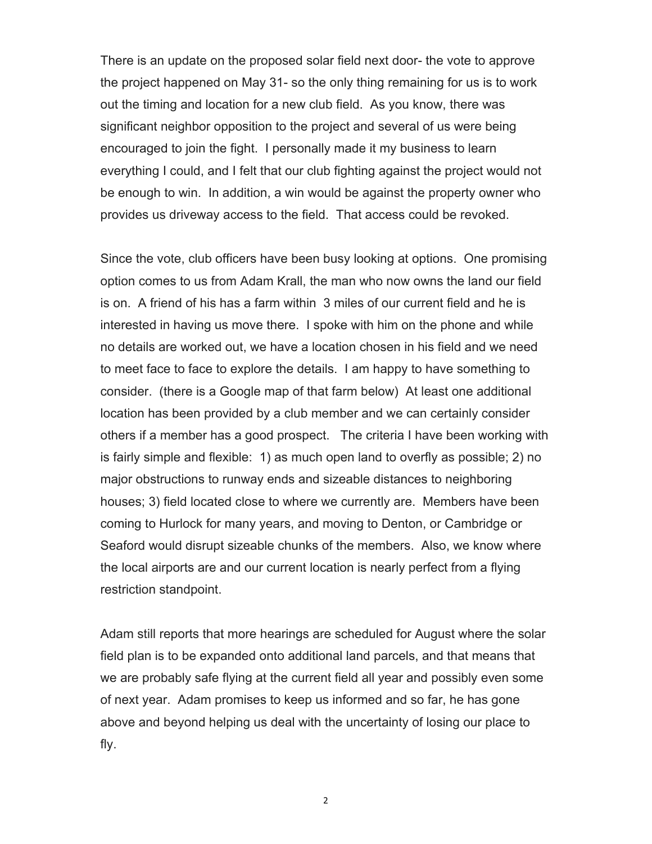There is an update on the proposed solar field next door- the vote to approve the project happened on May 31- so the only thing remaining for us is to work out the timing and location for a new club field. As you know, there was significant neighbor opposition to the project and several of us were being encouraged to join the fight. I personally made it my business to learn everything I could, and I felt that our club fighting against the project would not be enough to win. In addition, a win would be against the property owner who provides us driveway access to the field. That access could be revoked.

Since the vote, club officers have been busy looking at options. One promising option comes to us from Adam Krall, the man who now owns the land our field is on. A friend of his has a farm within 3 miles of our current field and he is interested in having us move there. I spoke with him on the phone and while no details are worked out, we have a location chosen in his field and we need to meet face to face to explore the details. I am happy to have something to consider. (there is a Google map of that farm below) At least one additional location has been provided by a club member and we can certainly consider others if a member has a good prospect. The criteria I have been working with is fairly simple and flexible: 1) as much open land to overfly as possible; 2) no major obstructions to runway ends and sizeable distances to neighboring houses; 3) field located close to where we currently are. Members have been coming to Hurlock for many years, and moving to Denton, or Cambridge or Seaford would disrupt sizeable chunks of the members. Also, we know where the local airports are and our current location is nearly perfect from a flying restriction standpoint.

Adam still reports that more hearings are scheduled for August where the solar field plan is to be expanded onto additional land parcels, and that means that we are probably safe flying at the current field all year and possibly even some of next year. Adam promises to keep us informed and so far, he has gone above and beyond helping us deal with the uncertainty of losing our place to fly.

2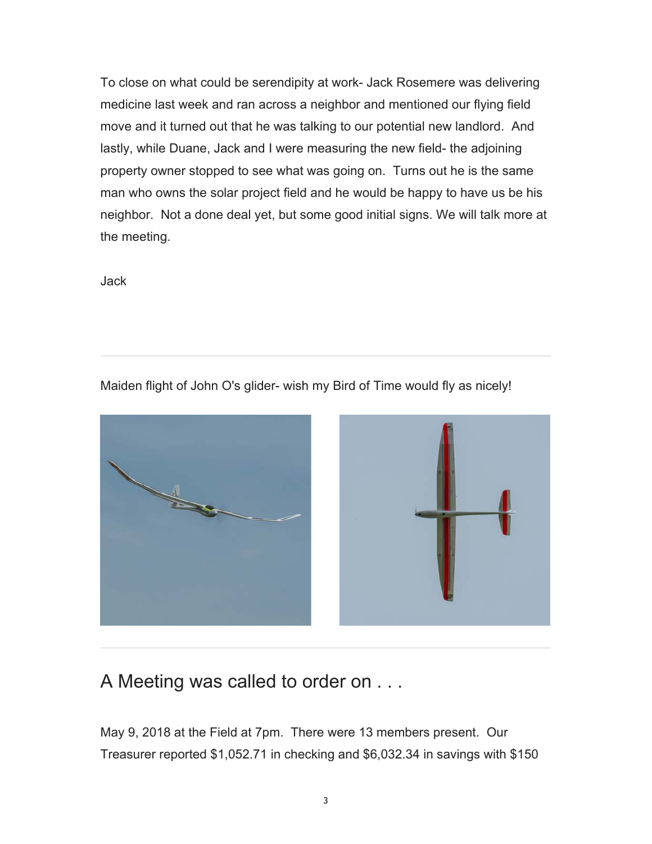To close on what could be serendipity at work- Jack Rosemere was delivering medicine last week and ran across a neighbor and mentioned our flying field move and it turned out that he was talking to our potential new landlord. And lastly, while Duane, Jack and I were measuring the new field- the adjoining property owner stopped to see what was going on. Turns out he is the same man who owns the solar project field and he would be happy to have us be his neighbor. Not a done deal yet, but some good initial signs. We will talk more at the meeting.

Jack

Maiden flight of John O's glider- wish my Bird of Time would fly as nicely!



## A Meeting was called to order on . . .

May 9, 2018 at the Field at 7pm. There were 13 members present. Our Treasurer reported \$1,052.71 in checking and \$6,032.34 in savings with \$150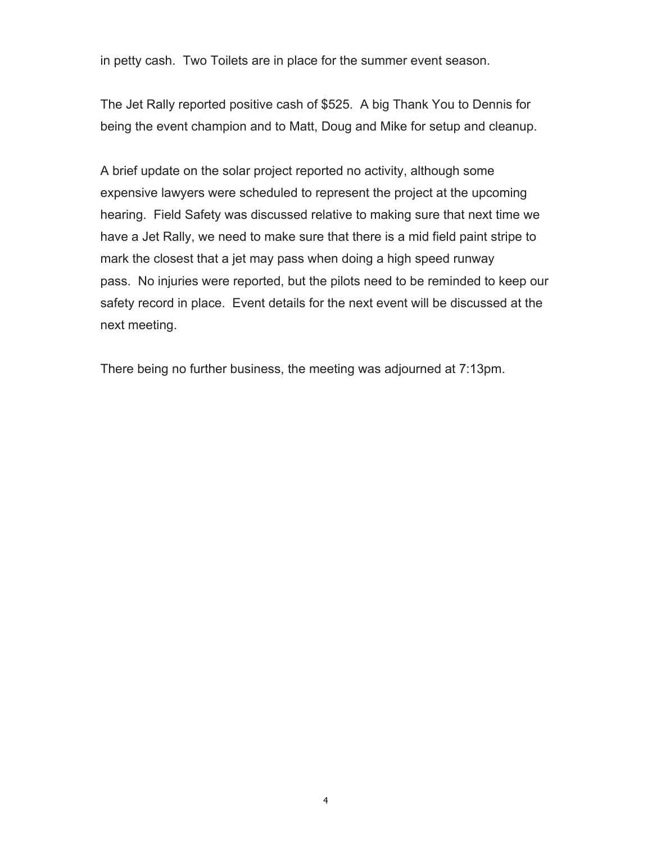in petty cash. Two Toilets are in place for the summer event season.

The Jet Rally reported positive cash of \$525. A big Thank You to Dennis for being the event champion and to Matt, Doug and Mike for setup and cleanup.

A brief update on the solar project reported no activity, although some expensive lawyers were scheduled to represent the project at the upcoming hearing. Field Safety was discussed relative to making sure that next time we have a Jet Rally, we need to make sure that there is a mid field paint stripe to mark the closest that a jet may pass when doing a high speed runway pass. No injuries were reported, but the pilots need to be reminded to keep our safety record in place. Event details for the next event will be discussed at the next meeting.

There being no further business, the meeting was adjourned at 7:13pm.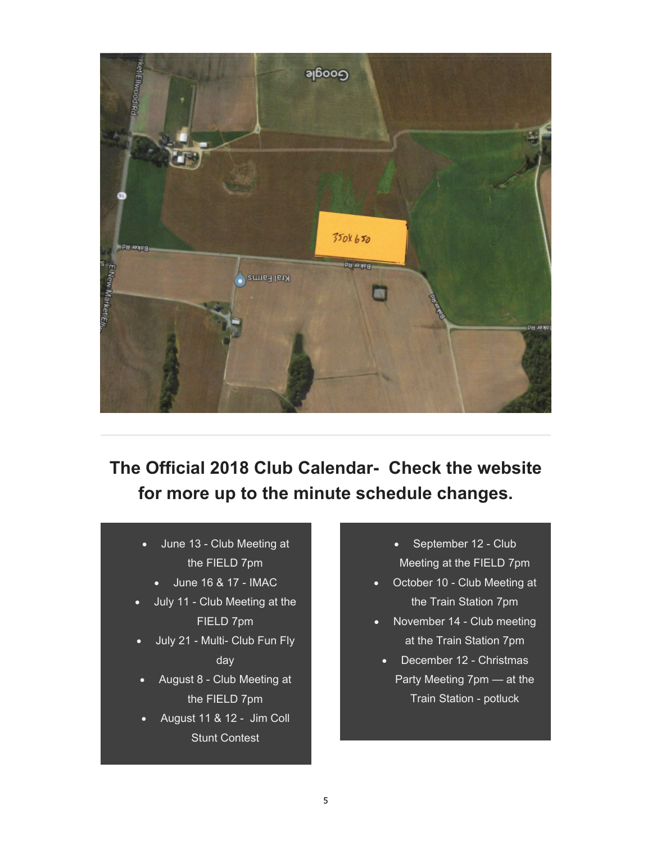

**The Official 2018 Club Calendar- Check the website for more up to the minute schedule changes.** 

- June 13 Club Meeting at the FIELD 7pm
	- June 16 & 17 IMAC
- July 11 Club Meeting at the FIELD 7pm
- July 21 Multi- Club Fun Fly day
- August 8 Club Meeting at the FIELD 7pm
- August 11 & 12 Jim Coll Stunt Contest
- September 12 Club Meeting at the FIELD 7pm
- October 10 Club Meeting at the Train Station 7pm
- November 14 Club meeting at the Train Station 7pm
	- December 12 Christmas Party Meeting 7pm — at the Train Station - potluck